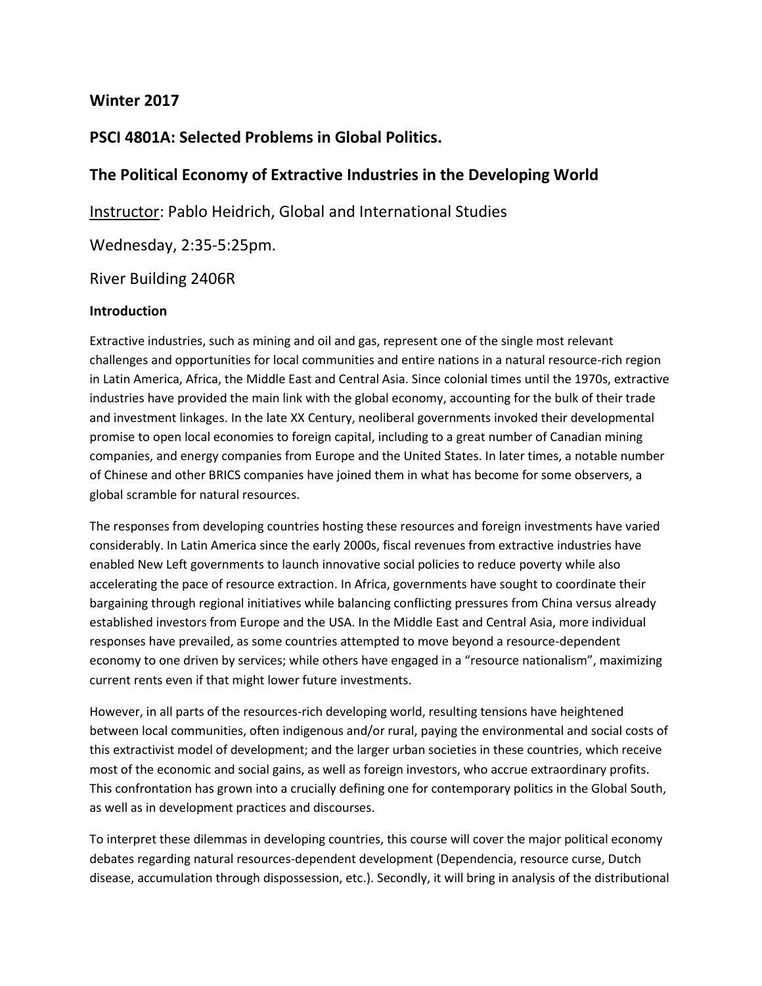# **Winter 2017**

# **PSCI 4801A: Selected Problems in Global Politics.**

# **The Political Economy of Extractive Industries in the Developing World**

Instructor: Pablo Heidrich, Global and International Studies

Wednesday, 2:35-5:25pm.

River Building 2406R

#### **Introduction**

Extractive industries, such as mining and oil and gas, represent one of the single most relevant challenges and opportunities for local communities and entire nations in a natural resource-rich region in Latin America, Africa, the Middle East and Central Asia. Since colonial times until the 1970s, extractive industries have provided the main link with the global economy, accounting for the bulk of their trade and investment linkages. In the late XX Century, neoliberal governments invoked their developmental promise to open local economies to foreign capital, including to a great number of Canadian mining companies, and energy companies from Europe and the United States. In later times, a notable number of Chinese and other BRICS companies have joined them in what has become for some observers, a global scramble for natural resources.

The responses from developing countries hosting these resources and foreign investments have varied considerably. In Latin America since the early 2000s, fiscal revenues from extractive industries have enabled New Left governments to launch innovative social policies to reduce poverty while also accelerating the pace of resource extraction. In Africa, governments have sought to coordinate their bargaining through regional initiatives while balancing conflicting pressures from China versus already established investors from Europe and the USA. In the Middle East and Central Asia, more individual responses have prevailed, as some countries attempted to move beyond a resource-dependent economy to one driven by services; while others have engaged in a "resource nationalism", maximizing current rents even if that might lower future investments.

However, in all parts of the resources-rich developing world, resulting tensions have heightened between local communities, often indigenous and/or rural, paying the environmental and social costs of this extractivist model of development; and the larger urban societies in these countries, which receive most of the economic and social gains, as well as foreign investors, who accrue extraordinary profits. This confrontation has grown into a crucially defining one for contemporary politics in the Global South, as well as in development practices and discourses.

To interpret these dilemmas in developing countries, this course will cover the major political economy debates regarding natural resources-dependent development (Dependencia, resource curse, Dutch disease, accumulation through dispossession, etc.). Secondly, it will bring in analysis of the distributional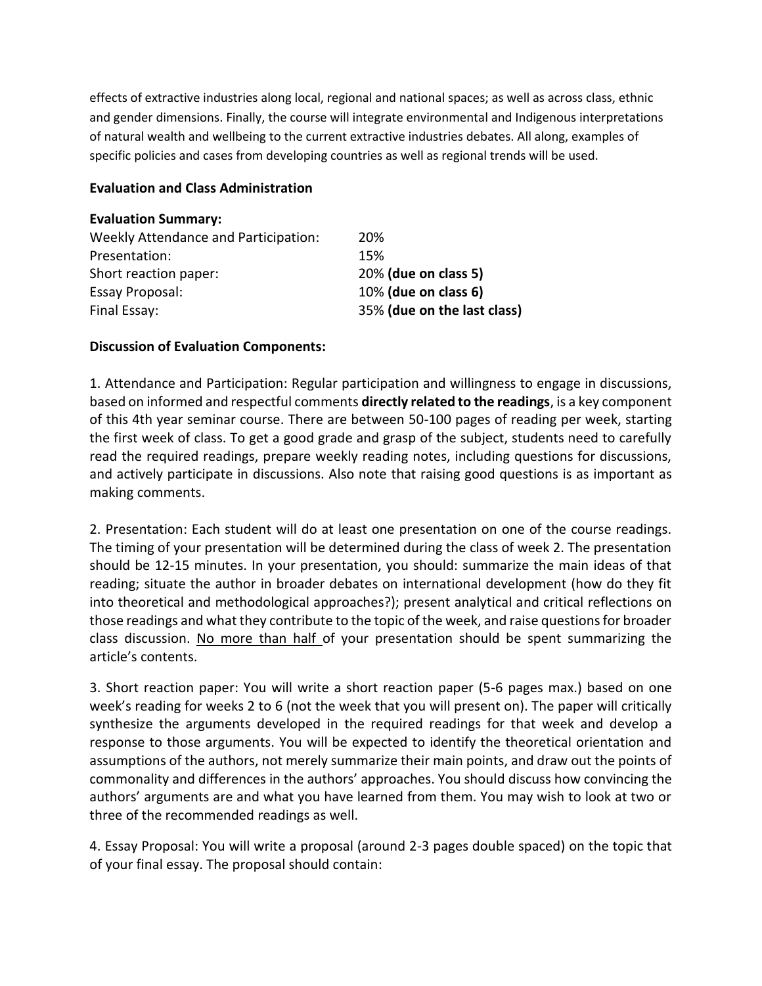effects of extractive industries along local, regional and national spaces; as well as across class, ethnic and gender dimensions. Finally, the course will integrate environmental and Indigenous interpretations of natural wealth and wellbeing to the current extractive industries debates. All along, examples of specific policies and cases from developing countries as well as regional trends will be used.

#### **Evaluation and Class Administration**

| 20%                         |
|-----------------------------|
| 15%                         |
| 20% (due on class 5)        |
| 10% (due on class 6)        |
| 35% (due on the last class) |
|                             |

#### **Discussion of Evaluation Components:**

1. Attendance and Participation: Regular participation and willingness to engage in discussions, based on informed and respectful comments **directly related to the readings**, is a key component of this 4th year seminar course. There are between 50-100 pages of reading per week, starting the first week of class. To get a good grade and grasp of the subject, students need to carefully read the required readings, prepare weekly reading notes, including questions for discussions, and actively participate in discussions. Also note that raising good questions is as important as making comments.

2. Presentation: Each student will do at least one presentation on one of the course readings. The timing of your presentation will be determined during the class of week 2. The presentation should be 12-15 minutes. In your presentation, you should: summarize the main ideas of that reading; situate the author in broader debates on international development (how do they fit into theoretical and methodological approaches?); present analytical and critical reflections on those readings and what they contribute to the topic of the week, and raise questions for broader class discussion. No more than half of your presentation should be spent summarizing the article's contents.

3. Short reaction paper: You will write a short reaction paper (5-6 pages max.) based on one week's reading for weeks 2 to 6 (not the week that you will present on). The paper will critically synthesize the arguments developed in the required readings for that week and develop a response to those arguments. You will be expected to identify the theoretical orientation and assumptions of the authors, not merely summarize their main points, and draw out the points of commonality and differences in the authors' approaches. You should discuss how convincing the authors' arguments are and what you have learned from them. You may wish to look at two or three of the recommended readings as well.

4. Essay Proposal: You will write a proposal (around 2-3 pages double spaced) on the topic that of your final essay. The proposal should contain: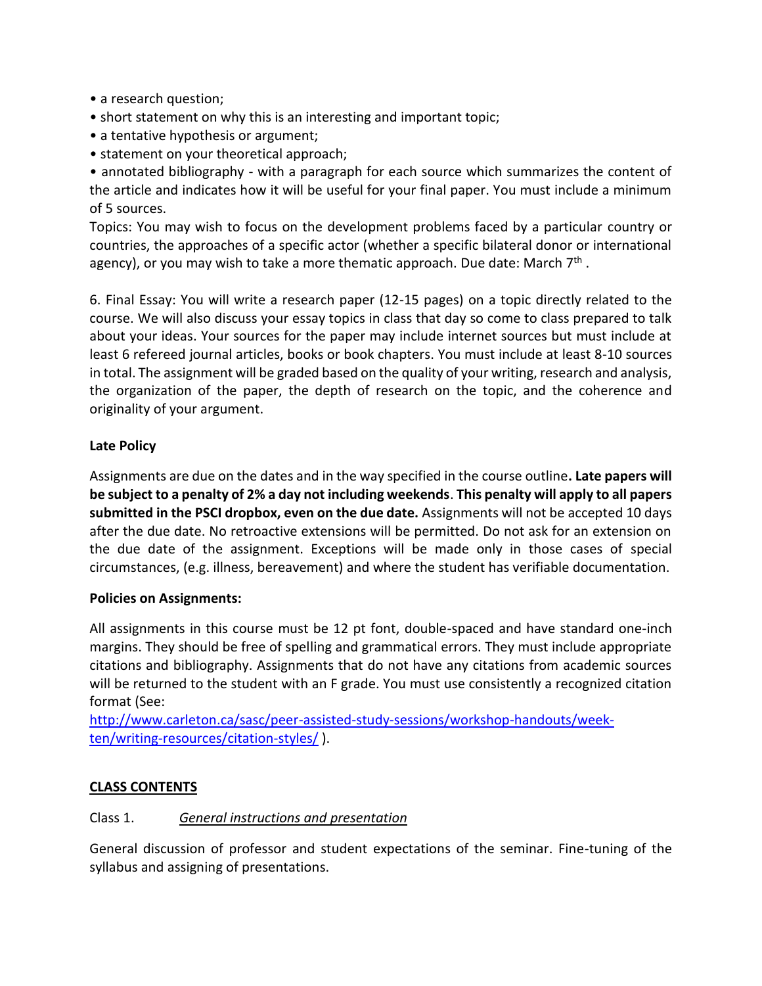- a research question;
- short statement on why this is an interesting and important topic;
- a tentative hypothesis or argument;
- statement on your theoretical approach;

• annotated bibliography - with a paragraph for each source which summarizes the content of the article and indicates how it will be useful for your final paper. You must include a minimum of 5 sources.

Topics: You may wish to focus on the development problems faced by a particular country or countries, the approaches of a specific actor (whether a specific bilateral donor or international agency), or you may wish to take a more thematic approach. Due date: March 7<sup>th</sup>.

6. Final Essay: You will write a research paper (12-15 pages) on a topic directly related to the course. We will also discuss your essay topics in class that day so come to class prepared to talk about your ideas. Your sources for the paper may include internet sources but must include at least 6 refereed journal articles, books or book chapters. You must include at least 8-10 sources in total. The assignment will be graded based on the quality of your writing, research and analysis, the organization of the paper, the depth of research on the topic, and the coherence and originality of your argument.

## **Late Policy**

Assignments are due on the dates and in the way specified in the course outline**. Late papers will be subject to a penalty of 2% a day not including weekends**. **This penalty will apply to all papers submitted in the PSCI dropbox, even on the due date.** Assignments will not be accepted 10 days after the due date. No retroactive extensions will be permitted. Do not ask for an extension on the due date of the assignment. Exceptions will be made only in those cases of special circumstances, (e.g. illness, bereavement) and where the student has verifiable documentation.

## **Policies on Assignments:**

All assignments in this course must be 12 pt font, double-spaced and have standard one-inch margins. They should be free of spelling and grammatical errors. They must include appropriate citations and bibliography. Assignments that do not have any citations from academic sources will be returned to the student with an F grade. You must use consistently a recognized citation format (See:

[http://www.carleton.ca/sasc/peer-assisted-study-sessions/workshop-handouts/week](http://www.carleton.ca/sasc/peer-assisted-study-sessions/workshop-handouts/week-ten/writing-resources/citation-styles/)[ten/writing-resources/citation-styles/](http://www.carleton.ca/sasc/peer-assisted-study-sessions/workshop-handouts/week-ten/writing-resources/citation-styles/) ).

## **CLASS CONTENTS**

## Class 1. *General instructions and presentation*

General discussion of professor and student expectations of the seminar. Fine-tuning of the syllabus and assigning of presentations.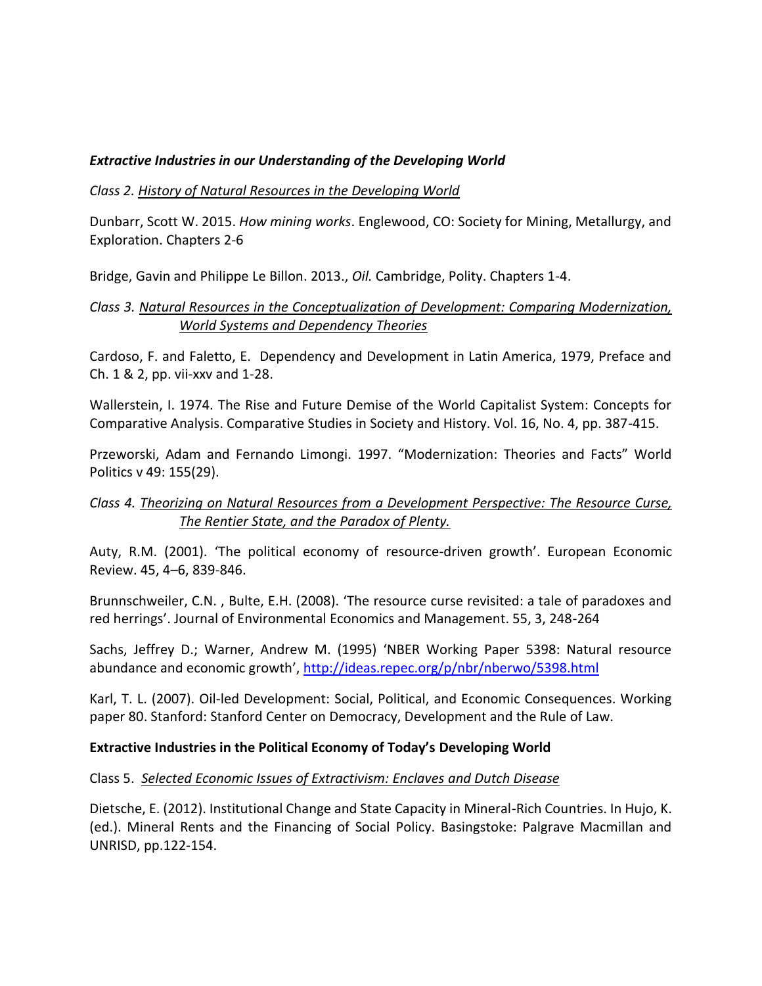## *Extractive Industries in our Understanding of the Developing World*

### *Class 2. History of Natural Resources in the Developing World*

Dunbarr, Scott W. 2015. *How mining works*. Englewood, CO: Society for Mining, Metallurgy, and Exploration. Chapters 2-6

Bridge, Gavin and Philippe Le Billon. 2013., *Oil.* Cambridge, Polity. Chapters 1-4.

## *Class 3. Natural Resources in the Conceptualization of Development: Comparing Modernization, World Systems and Dependency Theories*

Cardoso, F. and Faletto, E. Dependency and Development in Latin America, 1979, Preface and Ch. 1 & 2, pp. vii-xxv and 1-28.

Wallerstein, I. 1974. The Rise and Future Demise of the World Capitalist System: Concepts for Comparative Analysis. Comparative Studies in Society and History. Vol. 16, No. 4, pp. 387-415.

Przeworski, Adam and Fernando Limongi. 1997. "Modernization: Theories and Facts" World Politics v 49: 155(29).

## *Class 4. Theorizing on Natural Resources from a Development Perspective: The Resource Curse, The Rentier State, and the Paradox of Plenty.*

Auty, R.M. (2001). 'The political economy of resource-driven growth'. European Economic Review. 45, 4–6, 839-846.

Brunnschweiler, C.N. , Bulte, E.H. (2008). 'The resource curse revisited: a tale of paradoxes and red herrings'. Journal of Environmental Economics and Management. 55, 3, 248-264

Sachs, Jeffrey D.; Warner, Andrew M. (1995) 'NBER Working Paper 5398: Natural resource abundance and economic growth', <http://ideas.repec.org/p/nbr/nberwo/5398.html>

Karl, T. L. (2007). Oil-led Development: Social, Political, and Economic Consequences. Working paper 80. Stanford: Stanford Center on Democracy, Development and the Rule of Law.

### **Extractive Industries in the Political Economy of Today's Developing World**

### Class 5. *Selected Economic Issues of Extractivism: Enclaves and Dutch Disease*

Dietsche, E. (2012). Institutional Change and State Capacity in Mineral-Rich Countries. In Hujo, K. (ed.). Mineral Rents and the Financing of Social Policy. Basingstoke: Palgrave Macmillan and UNRISD, pp.122-154.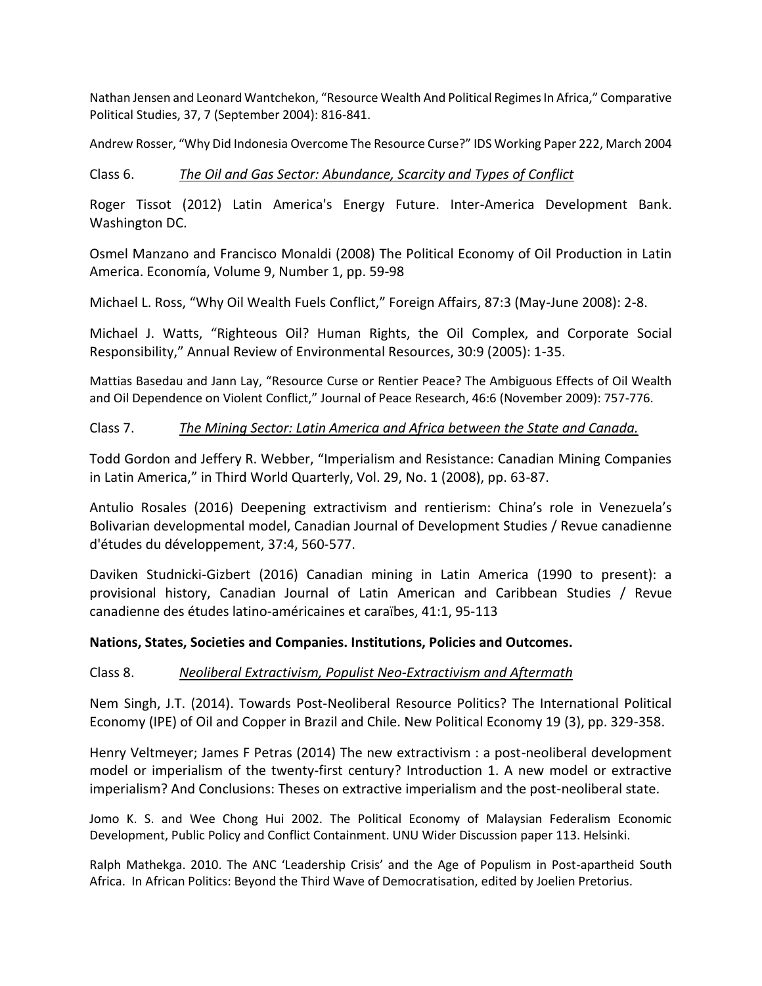Nathan Jensen and Leonard Wantchekon, "Resource Wealth And Political Regimes In Africa," Comparative Political Studies, 37, 7 (September 2004): 816-841.

Andrew Rosser, "Why Did Indonesia Overcome The Resource Curse?" IDS Working Paper 222, March 2004

#### Class 6. *The Oil and Gas Sector: Abundance, Scarcity and Types of Conflict*

Roger Tissot (2012) Latin America's Energy Future. Inter-America Development Bank. Washington DC.

Osmel Manzano and Francisco Monaldi (2008) The Political Economy of Oil Production in Latin America. Economía, Volume 9, Number 1, pp. 59-98

Michael L. Ross, "Why Oil Wealth Fuels Conflict," Foreign Affairs, 87:3 (May-June 2008): 2-8.

Michael J. Watts, "Righteous Oil? Human Rights, the Oil Complex, and Corporate Social Responsibility," Annual Review of Environmental Resources, 30:9 (2005): 1-35.

Mattias Basedau and Jann Lay, "Resource Curse or Rentier Peace? The Ambiguous Effects of Oil Wealth and Oil Dependence on Violent Conflict," Journal of Peace Research, 46:6 (November 2009): 757-776.

### Class 7. *The Mining Sector: Latin America and Africa between the State and Canada.*

Todd Gordon and Jeffery R. Webber, "Imperialism and Resistance: Canadian Mining Companies in Latin America," in Third World Quarterly, Vol. 29, No. 1 (2008), pp. 63-87.

Antulio Rosales (2016) Deepening extractivism and rentierism: China's role in Venezuela's Bolivarian developmental model, Canadian Journal of Development Studies / Revue canadienne d'études du développement, 37:4, 560-577.

Daviken Studnicki-Gizbert (2016) Canadian mining in Latin America (1990 to present): a provisional history, Canadian Journal of Latin American and Caribbean Studies / Revue canadienne des études latino-américaines et caraïbes, 41:1, 95-113

#### **Nations, States, Societies and Companies. Institutions, Policies and Outcomes.**

#### Class 8. *Neoliberal Extractivism, Populist Neo-Extractivism and Aftermath*

Nem Singh, J.T. (2014). Towards Post-Neoliberal Resource Politics? The International Political Economy (IPE) of Oil and Copper in Brazil and Chile. New Political Economy 19 (3), pp. 329-358.

Henry Veltmeyer; James F Petras (2014) The new extractivism : a post-neoliberal development model or imperialism of the twenty-first century? Introduction 1. A new model or extractive imperialism? And Conclusions: Theses on extractive imperialism and the post-neoliberal state.

Jomo K. S. and Wee Chong Hui 2002. The Political Economy of Malaysian Federalism Economic Development, Public Policy and Conflict Containment. UNU Wider Discussion paper 113. Helsinki.

Ralph Mathekga. 2010. The ANC 'Leadership Crisis' and the Age of Populism in Post-apartheid South Africa. In African Politics: Beyond the Third Wave of Democratisation, edited by Joelien Pretorius.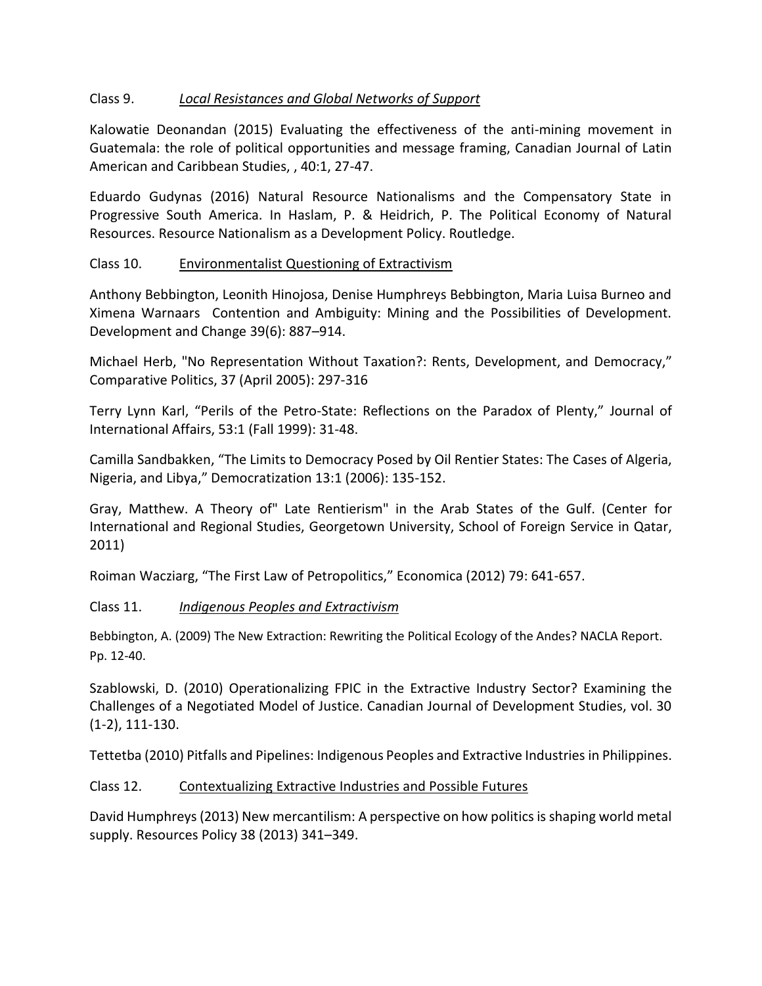## Class 9. *Local Resistances and Global Networks of Support*

Kalowatie Deonandan (2015) Evaluating the effectiveness of the anti-mining movement in Guatemala: the role of political opportunities and message framing, Canadian Journal of Latin American and Caribbean Studies, , 40:1, 27-47.

Eduardo Gudynas (2016) Natural Resource Nationalisms and the Compensatory State in Progressive South America. In Haslam, P. & Heidrich, P. The Political Economy of Natural Resources. Resource Nationalism as a Development Policy. Routledge.

## Class 10. Environmentalist Questioning of Extractivism

Anthony Bebbington, Leonith Hinojosa, Denise Humphreys Bebbington, Maria Luisa Burneo and Ximena Warnaars Contention and Ambiguity: Mining and the Possibilities of Development. Development and Change 39(6): 887–914.

Michael Herb, "No Representation Without Taxation?: Rents, Development, and Democracy," Comparative Politics, 37 (April 2005): 297-316

Terry Lynn Karl, "Perils of the Petro-State: Reflections on the Paradox of Plenty," Journal of International Affairs, 53:1 (Fall 1999): 31-48.

Camilla Sandbakken, "The Limits to Democracy Posed by Oil Rentier States: The Cases of Algeria, Nigeria, and Libya," Democratization 13:1 (2006): 135-152.

Gray, Matthew. A Theory of" Late Rentierism" in the Arab States of the Gulf. (Center for International and Regional Studies, Georgetown University, School of Foreign Service in Qatar, 2011)

Roiman Wacziarg, "The First Law of Petropolitics," Economica (2012) 79: 641-657.

## Class 11. *Indigenous Peoples and Extractivism*

Bebbington, A. (2009) The New Extraction: Rewriting the Political Ecology of the Andes? NACLA Report. Pp. 12-40.

Szablowski, D. (2010) Operationalizing FPIC in the Extractive Industry Sector? Examining the Challenges of a Negotiated Model of Justice. Canadian Journal of Development Studies, vol. 30 (1-2), 111-130.

Tettetba (2010) Pitfalls and Pipelines: Indigenous Peoples and Extractive Industries in Philippines.

### Class 12. Contextualizing Extractive Industries and Possible Futures

David Humphreys (2013) New mercantilism: A perspective on how politics is shaping world metal supply. Resources Policy 38 (2013) 341–349.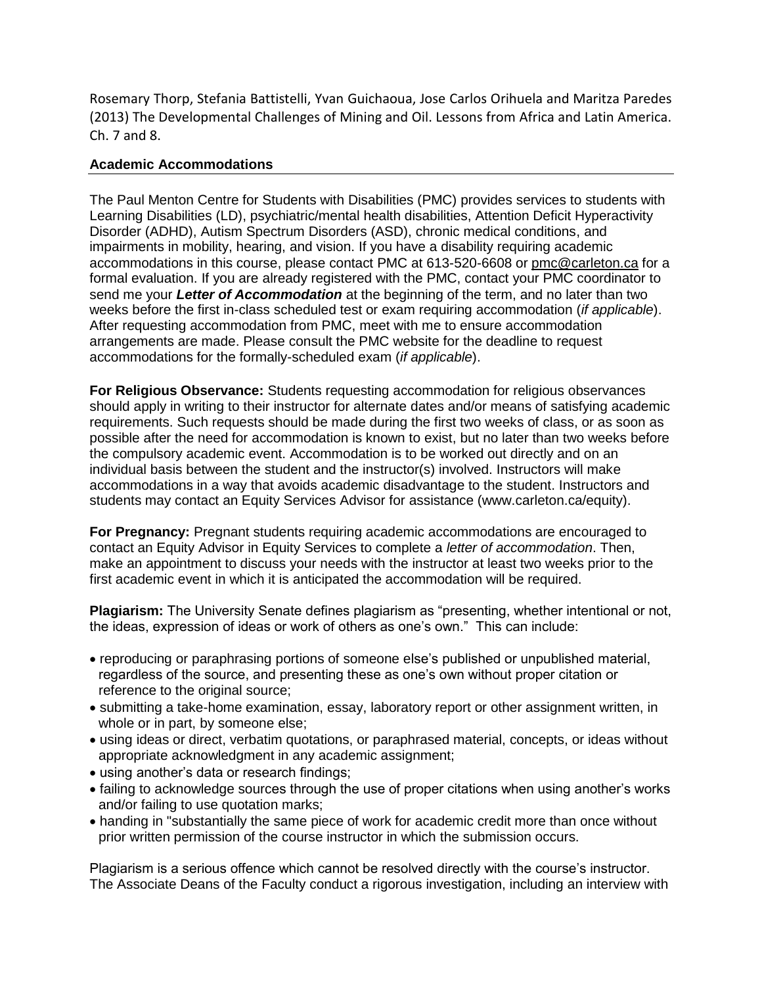Rosemary Thorp, Stefania Battistelli, Yvan Guichaoua, Jose Carlos Orihuela and Maritza Paredes (2013) The Developmental Challenges of Mining and Oil. Lessons from Africa and Latin America. Ch. 7 and 8.

#### **Academic Accommodations**

The Paul Menton Centre for Students with Disabilities (PMC) provides services to students with Learning Disabilities (LD), psychiatric/mental health disabilities, Attention Deficit Hyperactivity Disorder (ADHD), Autism Spectrum Disorders (ASD), chronic medical conditions, and impairments in mobility, hearing, and vision. If you have a disability requiring academic accommodations in this course, please contact PMC at 613-520-6608 or [pmc@carleton.ca](mailto:pmc@carleton.ca) for a formal evaluation. If you are already registered with the PMC, contact your PMC coordinator to send me your *Letter of Accommodation* at the beginning of the term, and no later than two weeks before the first in-class scheduled test or exam requiring accommodation (*if applicable*). After requesting accommodation from PMC, meet with me to ensure accommodation arrangements are made. Please consult the PMC website for the deadline to request accommodations for the formally-scheduled exam (*if applicable*).

**For Religious Observance:** Students requesting accommodation for religious observances should apply in writing to their instructor for alternate dates and/or means of satisfying academic requirements. Such requests should be made during the first two weeks of class, or as soon as possible after the need for accommodation is known to exist, but no later than two weeks before the compulsory academic event. Accommodation is to be worked out directly and on an individual basis between the student and the instructor(s) involved. Instructors will make accommodations in a way that avoids academic disadvantage to the student. Instructors and students may contact an Equity Services Advisor for assistance (www.carleton.ca/equity).

**For Pregnancy:** Pregnant students requiring academic accommodations are encouraged to contact an Equity Advisor in Equity Services to complete a *letter of accommodation*. Then, make an appointment to discuss your needs with the instructor at least two weeks prior to the first academic event in which it is anticipated the accommodation will be required.

**Plagiarism:** The University Senate defines plagiarism as "presenting, whether intentional or not, the ideas, expression of ideas or work of others as one's own." This can include:

- reproducing or paraphrasing portions of someone else's published or unpublished material, regardless of the source, and presenting these as one's own without proper citation or reference to the original source;
- submitting a take-home examination, essay, laboratory report or other assignment written, in whole or in part, by someone else;
- using ideas or direct, verbatim quotations, or paraphrased material, concepts, or ideas without appropriate acknowledgment in any academic assignment;
- using another's data or research findings;
- failing to acknowledge sources through the use of proper citations when using another's works and/or failing to use quotation marks;
- handing in "substantially the same piece of work for academic credit more than once without prior written permission of the course instructor in which the submission occurs.

Plagiarism is a serious offence which cannot be resolved directly with the course's instructor. The Associate Deans of the Faculty conduct a rigorous investigation, including an interview with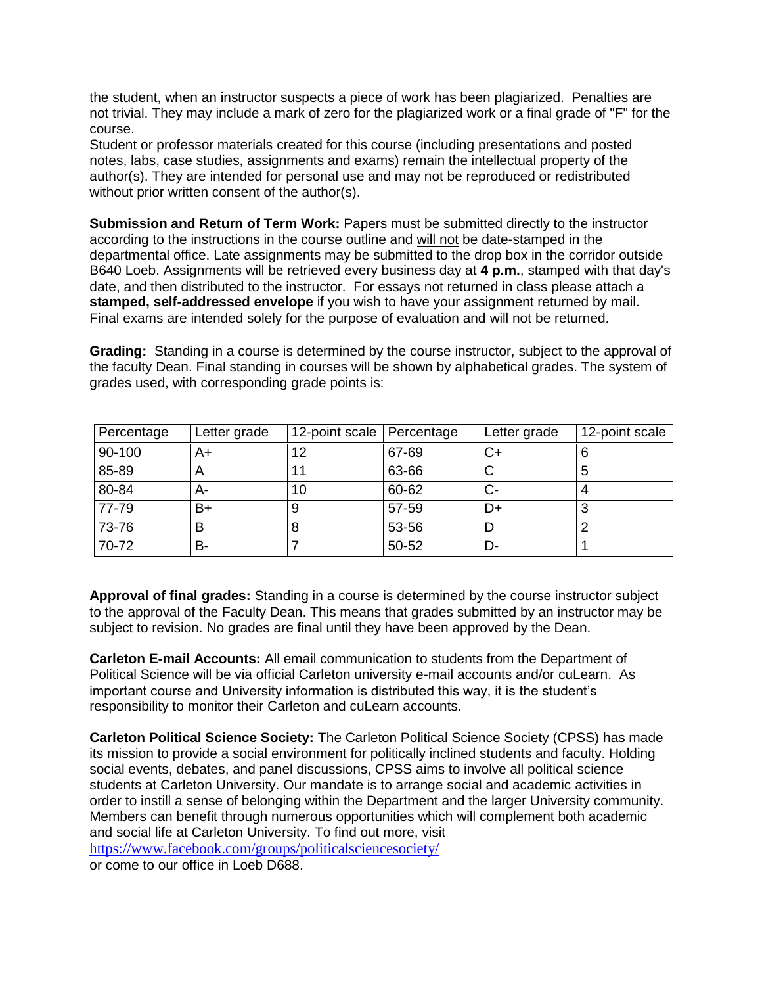the student, when an instructor suspects a piece of work has been plagiarized. Penalties are not trivial. They may include a mark of zero for the plagiarized work or a final grade of "F" for the course.

Student or professor materials created for this course (including presentations and posted notes, labs, case studies, assignments and exams) remain the intellectual property of the author(s). They are intended for personal use and may not be reproduced or redistributed without prior written consent of the author(s).

**Submission and Return of Term Work:** Papers must be submitted directly to the instructor according to the instructions in the course outline and will not be date-stamped in the departmental office. Late assignments may be submitted to the drop box in the corridor outside B640 Loeb. Assignments will be retrieved every business day at **4 p.m.**, stamped with that day's date, and then distributed to the instructor. For essays not returned in class please attach a **stamped, self-addressed envelope** if you wish to have your assignment returned by mail. Final exams are intended solely for the purpose of evaluation and will not be returned.

**Grading:** Standing in a course is determined by the course instructor, subject to the approval of the faculty Dean. Final standing in courses will be shown by alphabetical grades. The system of grades used, with corresponding grade points is:

| Percentage | Letter grade | 12-point scale Percentage |       | Letter grade | 12-point scale |
|------------|--------------|---------------------------|-------|--------------|----------------|
| 90-100     | A+           | 12                        | 67-69 |              |                |
| 85-89      | n            |                           | 63-66 |              | 5              |
| 80-84      | A-           | 10                        | 60-62 |              |                |
| 77-79      | B+           | 9                         | 57-59 | D+           | 3              |
| 73-76      |              | O                         | 53-56 |              |                |
| 70-72      | в-           |                           | 50-52 | D-           |                |

**Approval of final grades:** Standing in a course is determined by the course instructor subject to the approval of the Faculty Dean. This means that grades submitted by an instructor may be subject to revision. No grades are final until they have been approved by the Dean.

**Carleton E-mail Accounts:** All email communication to students from the Department of Political Science will be via official Carleton university e-mail accounts and/or cuLearn. As important course and University information is distributed this way, it is the student's responsibility to monitor their Carleton and cuLearn accounts.

**Carleton Political Science Society:** The Carleton Political Science Society (CPSS) has made its mission to provide a social environment for politically inclined students and faculty. Holding social events, debates, and panel discussions, CPSS aims to involve all political science students at Carleton University. Our mandate is to arrange social and academic activities in order to instill a sense of belonging within the Department and the larger University community. Members can benefit through numerous opportunities which will complement both academic and social life at Carleton University. To find out more, visit

<https://www.facebook.com/groups/politicalsciencesociety/>

or come to our office in Loeb D688.